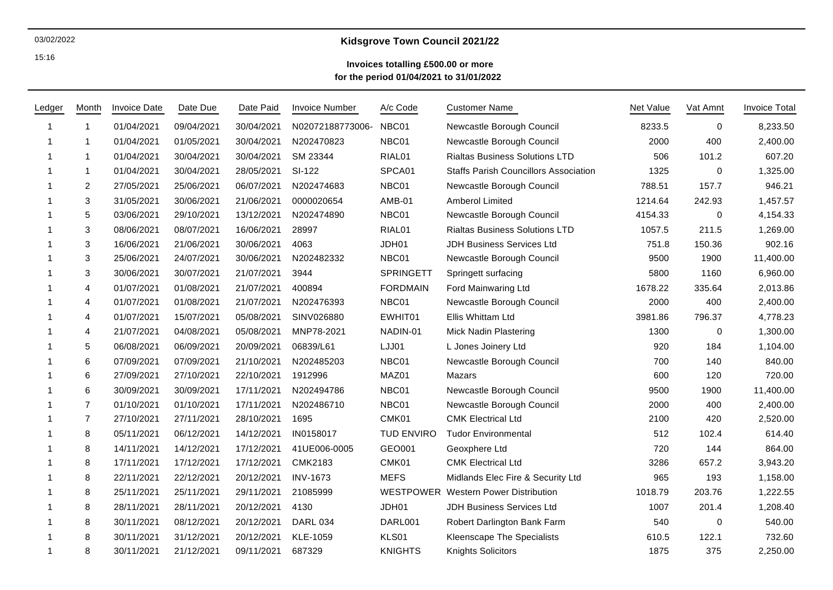#### 03/02/2022

15:16

# **Kidsgrove Town Council 2021/22**

### **Invoices totalling £500.00 or more for the period 01/04/2021 to 31/01/2022**

| Ledger | Month          | <b>Invoice Date</b> | Date Due   | Date Paid  | <b>Invoice Number</b> | A/c Code          | <b>Customer Name</b>                         | <b>Net Value</b> | Vat Amnt    | <b>Invoice Total</b> |
|--------|----------------|---------------------|------------|------------|-----------------------|-------------------|----------------------------------------------|------------------|-------------|----------------------|
|        | 1              | 01/04/2021          | 09/04/2021 | 30/04/2021 | N02072188773006-      | NBC01             | Newcastle Borough Council                    | 8233.5           | 0           | 8,233.50             |
| -1     | 1              | 01/04/2021          | 01/05/2021 | 30/04/2021 | N202470823            | NBC01             | Newcastle Borough Council                    | 2000             | 400         | 2,400.00             |
| -1     | $\mathbf{1}$   | 01/04/2021          | 30/04/2021 | 30/04/2021 | SM 23344              | RIAL01            | <b>Rialtas Business Solutions LTD</b>        | 506              | 101.2       | 607.20               |
| 1      | $\mathbf{1}$   | 01/04/2021          | 30/04/2021 | 28/05/2021 | SI-122                | SPCA01            | <b>Staffs Parish Councillors Association</b> | 1325             | 0           | 1,325.00             |
|        | $\overline{2}$ | 27/05/2021          | 25/06/2021 | 06/07/2021 | N202474683            | NBC01             | Newcastle Borough Council                    | 788.51           | 157.7       | 946.21               |
|        | 3              | 31/05/2021          | 30/06/2021 | 21/06/2021 | 0000020654            | <b>AMB-01</b>     | <b>Amberol Limited</b>                       | 1214.64          | 242.93      | 1,457.57             |
|        | 5              | 03/06/2021          | 29/10/2021 | 13/12/2021 | N202474890            | NBC01             | Newcastle Borough Council                    | 4154.33          | 0           | 4,154.33             |
|        | 3              | 08/06/2021          | 08/07/2021 | 16/06/2021 | 28997                 | RIAL01            | <b>Rialtas Business Solutions LTD</b>        | 1057.5           | 211.5       | 1,269.00             |
|        | 3              | 16/06/2021          | 21/06/2021 | 30/06/2021 | 4063                  | JDH01             | <b>JDH Business Services Ltd</b>             | 751.8            | 150.36      | 902.16               |
|        | 3              | 25/06/2021          | 24/07/2021 | 30/06/2021 | N202482332            | NBC01             | Newcastle Borough Council                    | 9500             | 1900        | 11,400.00            |
|        | 3              | 30/06/2021          | 30/07/2021 | 21/07/2021 | 3944                  | <b>SPRINGETT</b>  | Springett surfacing                          | 5800             | 1160        | 6,960.00             |
|        | $\overline{4}$ | 01/07/2021          | 01/08/2021 | 21/07/2021 | 400894                | <b>FORDMAIN</b>   | Ford Mainwaring Ltd                          | 1678.22          | 335.64      | 2,013.86             |
|        | 4              | 01/07/2021          | 01/08/2021 | 21/07/2021 | N202476393            | NBC01             | Newcastle Borough Council                    | 2000             | 400         | 2,400.00             |
|        | $\overline{4}$ | 01/07/2021          | 15/07/2021 | 05/08/2021 | SINV026880            | EWHIT01           | Ellis Whittam Ltd                            | 3981.86          | 796.37      | 4,778.23             |
|        | $\overline{4}$ | 21/07/2021          | 04/08/2021 | 05/08/2021 | MNP78-2021            | NADIN-01          | <b>Mick Nadin Plastering</b>                 | 1300             | 0           | 1,300.00             |
|        | 5              | 06/08/2021          | 06/09/2021 | 20/09/2021 | 06839/L61             | LJJ01             | L Jones Joinery Ltd                          | 920              | 184         | 1,104.00             |
| 1      | 6              | 07/09/2021          | 07/09/2021 | 21/10/2021 | N202485203            | NBC01             | Newcastle Borough Council                    | 700              | 140         | 840.00               |
| -1     | 6              | 27/09/2021          | 27/10/2021 | 22/10/2021 | 1912996               | MAZ01             | Mazars                                       | 600              | 120         | 720.00               |
|        | 6              | 30/09/2021          | 30/09/2021 | 17/11/2021 | N202494786            | NBC01             | Newcastle Borough Council                    | 9500             | 1900        | 11,400.00            |
|        | $\overline{7}$ | 01/10/2021          | 01/10/2021 | 17/11/2021 | N202486710            | NBC01             | Newcastle Borough Council                    | 2000             | 400         | 2,400.00             |
|        | 7              | 27/10/2021          | 27/11/2021 | 28/10/2021 | 1695                  | CMK01             | <b>CMK Electrical Ltd</b>                    | 2100             | 420         | 2,520.00             |
|        | 8              | 05/11/2021          | 06/12/2021 | 14/12/2021 | IN0158017             | <b>TUD ENVIRO</b> | <b>Tudor Environmental</b>                   | 512              | 102.4       | 614.40               |
|        | 8              | 14/11/2021          | 14/12/2021 | 17/12/2021 | 41UE006-0005          | GEO001            | Geoxphere Ltd                                | 720              | 144         | 864.00               |
| -1     | 8              | 17/11/2021          | 17/12/2021 | 17/12/2021 | <b>CMK2183</b>        | CMK01             | <b>CMK Electrical Ltd</b>                    | 3286             | 657.2       | 3,943.20             |
|        | 8              | 22/11/2021          | 22/12/2021 | 20/12/2021 | <b>INV-1673</b>       | <b>MEFS</b>       | Midlands Elec Fire & Security Ltd            | 965              | 193         | 1,158.00             |
|        | 8              | 25/11/2021          | 25/11/2021 | 29/11/2021 | 21085999              |                   | WESTPOWER Western Power Distribution         | 1018.79          | 203.76      | 1,222.55             |
|        | 8              | 28/11/2021          | 28/11/2021 | 20/12/2021 | 4130                  | JDH01             | JDH Business Services Ltd                    | 1007             | 201.4       | 1,208.40             |
|        | 8              | 30/11/2021          | 08/12/2021 | 20/12/2021 | <b>DARL 034</b>       | DARL001           | Robert Darlington Bank Farm                  | 540              | $\mathbf 0$ | 540.00               |
|        | 8              | 30/11/2021          | 31/12/2021 | 20/12/2021 | KLE-1059              | KLS01             | <b>Kleenscape The Specialists</b>            | 610.5            | 122.1       | 732.60               |
| 1      | 8              | 30/11/2021          | 21/12/2021 | 09/11/2021 | 687329                | <b>KNIGHTS</b>    | Knights Solicitors                           | 1875             | 375         | 2,250.00             |